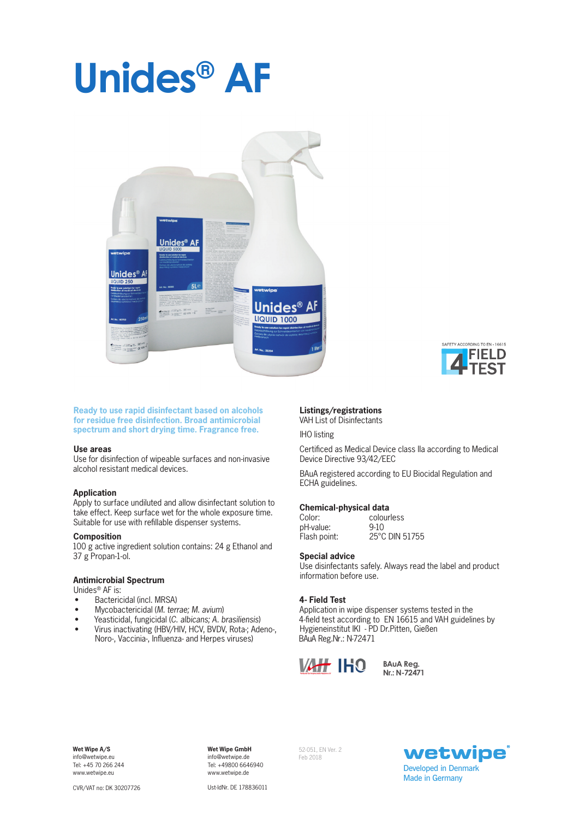# **Unides® AF**



**Ready to use rapid disinfectant based on alcohols for residue free disinfection. Broad antimicrobial spectrum and short drying time. Fragrance free.**

#### **Use areas**

Use for disinfection of wipeable surfaces and non-invasive alcohol resistant medical devices.

#### **Application**

Apply to surface undiluted and allow disinfectant solution to take effect. Keep surface wet for the whole exposure time. Suitable for use with refillable dispenser systems.

# **Composition**

100 g active ingredient solution contains: 24 g Ethanol and 37 g Propan-1-ol.

# **Antimicrobial Spectrum**

Unides® AF is:

- Bactericidal (incl. MRSA)
- Mycobactericidal (*M. terrae; M. avium*)
- Yeasticidal, fungicidal (*C. albicans; A. brasiliensis*)
- Virus inactivating (HBV/HIV, HCV, BVDV, Rota-; Adeno-, Noro-, Vaccinia-, Influenza- and Herpes viruses)

# **Listings/registrations** VAH List of Disinfectants

IHO listing

Certificed as Medical Device class IIa according to Medical Device Directive 93/42/EEC

IELD

BAuA registered according to EU Biocidal Regulation and ECHA guidelines.

### **Chemical-physical data**

| Color:       | colourless     |
|--------------|----------------|
| pH-value:    | $9-10$         |
| Flash point: | 25°C DIN 51755 |

#### **Special advice**

Use disinfectants safely. Always read the label and product information before use.

# **4- Field Test**

Application in wipe dispenser systems tested in the 4-field test according to EN 16615 and VAH guidelines by Hygieneinstitut IKI - PD Dr.Pitten, Gießen BAuA Reg.Nr.: N-72471



**B AuA R e g. Nr.: N -72 4 71**

**Wet Wipe A/S**  info@wetwipe.eu Tel: +45 70 266 244 www.wetwipe.eu

**Wet Wipe GmbH** info@wetwipe.de Tel: +49800 6646940 www.wetwipe.de

52-051, EN Ver. 2 Feb 2018



CVR/VAT no: DK 30207726

Ust-IdNr. DE 178836011